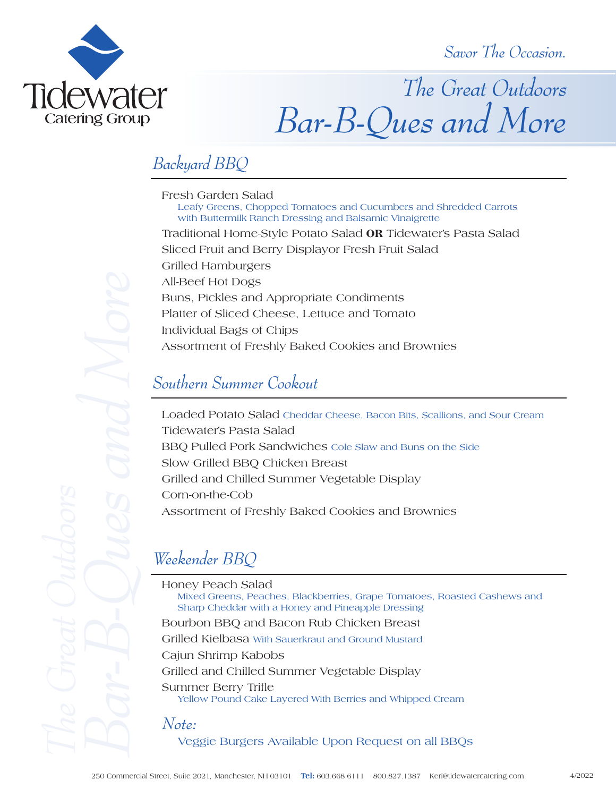*Savor The Occasion.*



*The Great Outdoors Bar-B-Ques and More*

## *Backyard BBQ*

Fresh Garden Salad<br>Leafy Greens, Chopped Tomatoes and Cucumbers and Shredded Carrots with Buttermilk Ranch Dressing and Balsamic Vinaigrette Traditional Home-Style Potato Salad **OR** Tidewater's Pasta Salad Sliced Fruit and Berry Displayor Fresh Fruit Salad Grilled Hamburgers All-Beef Hot Dogs Buns, Pickles and Appropriate Condiments Platter of Sliced Cheese, Lettuce and Tomato Individual Bags of Chips Assortment of Freshly Baked Cookies and Brownies

#### *Southern Summer Cookout*

Loaded Potato Salad Cheddar Cheese, Bacon Bits, Scallions, and Sour Cream Tidewater's Pasta Salad BBQ Pulled Pork Sandwiches Cole Slaw and Buns on the Side Slow Grilled BBQ Chicken Breast Grilled and Chilled Summer Vegetable Display Corn-on-the-Cob Assortment of Freshly Baked Cookies and Brownies

Honey Peach Salad Mixed Greens, Peaches, Blackberries, Grape Tomatoes, Roasted Cashews and Sharp Cheddar with a Honey and Pineapple Dressing Bourbon BBQ and Bacon Rub Chicken Breast Grilled Kielbasa With Sauerkraut and Ground Mustard Cajun Shrimp Kabobs Grilled and Chilled Summer Vegetable Display Summer Berry Trifle<br>Yellow Pound Cake Layered With Berries and Whipped Cream *Note:*

Veggie Burgers Available Upon Request on all BBQs